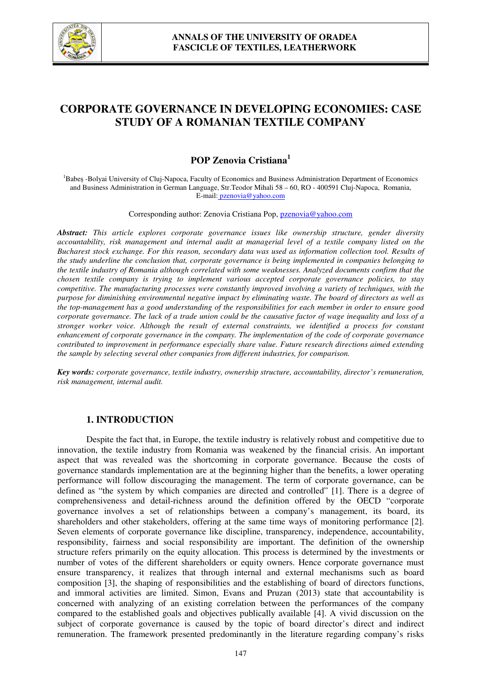

# **CORPORATE GOVERNANCE IN DEVELOPING ECONOMIES: CASE STUDY OF A ROMANIAN TEXTILE COMPANY**

## **POP Zenovia Cristiana<sup>1</sup>**

<sup>1</sup>Babes -Bolyai University of Cluj-Napoca, Faculty of Economics and Business Administration Department of Economics and Business Administration in German Language, Str.Teodor Mihali 58 – 60, RO - 400591 Cluj-Napoca, Romania, E-mail: pzenovia@yahoo.com

Corresponding author: Zenovia Cristiana Pop, pzenovia@yahoo.com

*Abstract: This article explores corporate governance issues like ownership structure, gender diversity accountability, risk management and internal audit at managerial level of a textile company listed on the Bucharest stock exchange. For this reason, secondary data was used as information collection tool. Results of the study underline the conclusion that, corporate governance is being implemented in companies belonging to the textile industry of Romania although correlated with some weaknesses. Analyzed documents confirm that the chosen textile company is trying to implement various accepted corporate governance policies, to stay competitive. The manufacturing processes were constantly improved involving a variety of techniques, with the purpose for diminishing environmental negative impact by eliminating waste. The board of directors as well as the top-management has a good understanding of the responsibilities for each member in order to ensure good corporate governance. The lack of a trade union could be the causative factor of wage inequality and loss of a stronger worker voice. Although the result of external constraints, we identified a process for constant enhancement of corporate governance in the company. The implementation of the code of corporate governance contributed to improvement in performance especially share value. Future research directions aimed extending the sample by selecting several other companies from different industries, for comparison.* 

*Key words: corporate governance, textile industry, ownership structure, accountability, director's remuneration, risk management, internal audit.*

## **1. INTRODUCTION**

Despite the fact that, in Europe, the textile industry is relatively robust and competitive due to innovation, the textile industry from Romania was weakened by the financial crisis. An important aspect that was revealed was the shortcoming in corporate governance. Because the costs of governance standards implementation are at the beginning higher than the benefits, a lower operating performance will follow discouraging the management. The term of corporate governance, can be defined as "the system by which companies are directed and controlled" [1]. There is a degree of comprehensiveness and detail-richness around the definition offered by the OECD "corporate governance involves a set of relationships between a company's management, its board, its shareholders and other stakeholders, offering at the same time ways of monitoring performance [2]. Seven elements of corporate governance like discipline, transparency, independence, accountability, responsibility, fairness and social responsibility are important. The definition of the ownership structure refers primarily on the equity allocation. This process is determined by the investments or number of votes of the different shareholders or equity owners. Hence corporate governance must ensure transparency, it realizes that through internal and external mechanisms such as board composition [3], the shaping of responsibilities and the establishing of board of directors functions, and immoral activities are limited. Simon, Evans and Pruzan (2013) state that accountability is concerned with analyzing of an existing correlation between the performances of the company compared to the established goals and objectives publically available [4]. A vivid discussion on the subject of corporate governance is caused by the topic of board director's direct and indirect remuneration. The framework presented predominantly in the literature regarding company's risks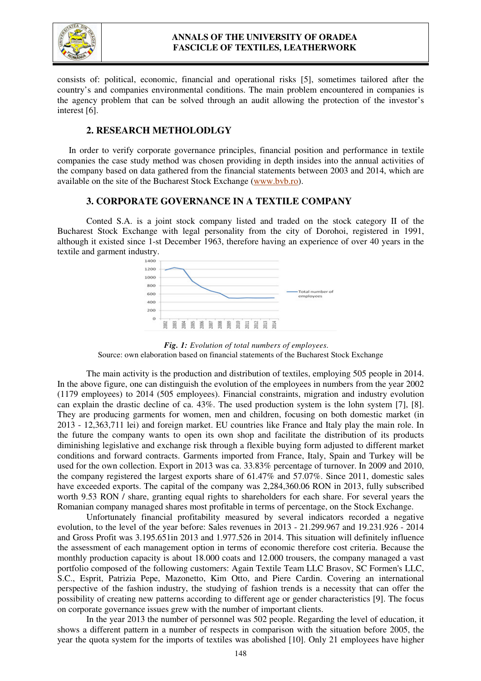

consists of: political, economic, financial and operational risks [5], sometimes tailored after the country's and companies environmental conditions. The main problem encountered in companies is the agency problem that can be solved through an audit allowing the protection of the investor's interest [6].

#### **2. RESEARCH METHOLODLGY**

In order to verify corporate governance principles, financial position and performance in textile companies the case study method was chosen providing in depth insides into the annual activities of the company based on data gathered from the financial statements between 2003 and 2014, which are available on the site of the Bucharest Stock Exchange (www.bvb.ro).

#### **3. CORPORATE GOVERNANCE IN A TEXTILE COMPANY**

Conted S.A. is a joint stock company listed and traded on the stock category II of the Bucharest Stock Exchange with legal personality from the city of Dorohoi, registered in 1991, although it existed since 1-st December 1963, therefore having an experience of over 40 years in the textile and garment industry.



*Fig. 1: Evolution of total numbers of employees.*  Source: own elaboration based on financial statements of the Bucharest Stock Exchange

The main activity is the production and distribution of textiles, employing 505 people in 2014. In the above figure, one can distinguish the evolution of the employees in numbers from the year 2002 (1179 employees) to 2014 (505 employees). Financial constraints, migration and industry evolution can explain the drastic decline of ca. 43%. The used production system is the lohn system [7], [8]. They are producing garments for women, men and children, focusing on both domestic market (in 2013 - 12,363,711 lei) and foreign market. EU countries like France and Italy play the main role. In the future the company wants to open its own shop and facilitate the distribution of its products diminishing legislative and exchange risk through a flexible buying form adjusted to different market conditions and forward contracts. Garments imported from France, Italy, Spain and Turkey will be used for the own collection. Export in 2013 was ca. 33.83% percentage of turnover. In 2009 and 2010, the company registered the largest exports share of 61.47% and 57.07%. Since 2011, domestic sales have exceeded exports. The capital of the company was 2,284,360.06 RON in 2013, fully subscribed worth 9.53 RON / share, granting equal rights to shareholders for each share. For several years the Romanian company managed shares most profitable in terms of percentage, on the Stock Exchange.

Unfortunately financial profitability measured by several indicators recorded a negative evolution, to the level of the year before: Sales revenues in 2013 - 21.299.967 and 19.231.926 - 2014 and Gross Profit was 3.195.651in 2013 and 1.977.526 in 2014. This situation will definitely influence the assessment of each management option in terms of economic therefore cost criteria. Because the monthly production capacity is about 18.000 coats and 12.000 trousers, the company managed a vast portfolio composed of the following customers: Again Textile Team LLC Brasov, SC Formen's LLC, S.C., Esprit, Patrizia Pepe, Mazonetto, Kim Otto, and Piere Cardin. Covering an international perspective of the fashion industry, the studying of fashion trends is a necessity that can offer the possibility of creating new patterns according to different age or gender characteristics [9]. The focus on corporate governance issues grew with the number of important clients.

In the year 2013 the number of personnel was 502 people. Regarding the level of education, it shows a different pattern in a number of respects in comparison with the situation before 2005, the year the quota system for the imports of textiles was abolished [10]. Only 21 employees have higher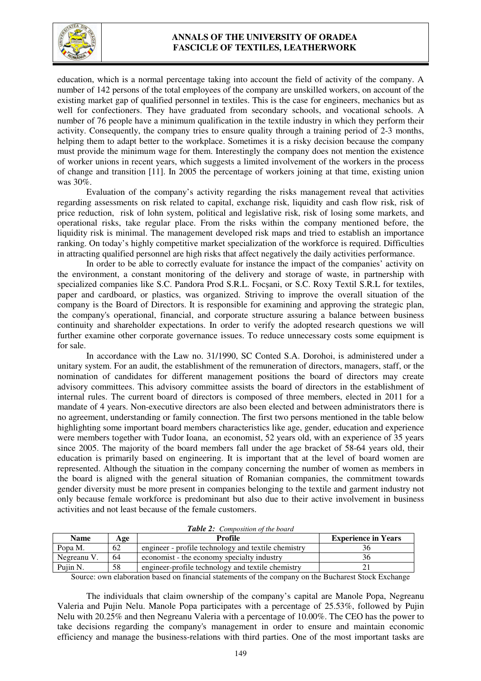

### **ANNALS OF THE UNIVERSITY OF ORADEA FASCICLE OF TEXTILES, LEATHERWORK**

education, which is a normal percentage taking into account the field of activity of the company. A number of 142 persons of the total employees of the company are unskilled workers, on account of the existing market gap of qualified personnel in textiles. This is the case for engineers, mechanics but as well for confectioners. They have graduated from secondary schools, and vocational schools. A number of 76 people have a minimum qualification in the textile industry in which they perform their activity. Consequently, the company tries to ensure quality through a training period of 2-3 months, helping them to adapt better to the workplace. Sometimes it is a risky decision because the company must provide the minimum wage for them. Interestingly the company does not mention the existence of worker unions in recent years, which suggests a limited involvement of the workers in the process of change and transition [11]. In 2005 the percentage of workers joining at that time, existing union was 30%.

Evaluation of the company's activity regarding the risks management reveal that activities regarding assessments on risk related to capital, exchange risk, liquidity and cash flow risk, risk of price reduction, risk of lohn system, political and legislative risk, risk of losing some markets, and operational risks, take regular place. From the risks within the company mentioned before, the liquidity risk is minimal. The management developed risk maps and tried to establish an importance ranking. On today's highly competitive market specialization of the workforce is required. Difficulties in attracting qualified personnel are high risks that affect negatively the daily activities performance.

In order to be able to correctly evaluate for instance the impact of the companies' activity on the environment, a constant monitoring of the delivery and storage of waste, in partnership with specialized companies like S.C. Pandora Prod S.R.L. Focşani, or S.C. Roxy Textil S.R.L for textiles, paper and cardboard, or plastics, was organized. Striving to improve the overall situation of the company is the Board of Directors. It is responsible for examining and approving the strategic plan, the company's operational, financial, and corporate structure assuring a balance between business continuity and shareholder expectations. In order to verify the adopted research questions we will further examine other corporate governance issues. To reduce unnecessary costs some equipment is for sale.

In accordance with the Law no. 31/1990, SC Conted S.A. Dorohoi, is administered under a unitary system. For an audit, the establishment of the remuneration of directors, managers, staff, or the nomination of candidates for different management positions the board of directors may create advisory committees. This advisory committee assists the board of directors in the establishment of internal rules. The current board of directors is composed of three members, elected in 2011 for a mandate of 4 years. Non-executive directors are also been elected and between administrators there is no agreement, understanding or family connection. The first two persons mentioned in the table below highlighting some important board members characteristics like age, gender, education and experience were members together with Tudor Ioana, an economist, 52 years old, with an experience of 35 years since 2005. The majority of the board members fall under the age bracket of 58-64 years old, their education is primarily based on engineering. It is important that at the level of board women are represented. Although the situation in the company concerning the number of women as members in the board is aligned with the general situation of Romanian companies, the commitment towards gender diversity must be more present in companies belonging to the textile and garment industry not only because female workforce is predominant but also due to their active involvement in business activities and not least because of the female customers.

| <b>Name</b> | Age | Profile                                             | <b>Experience in Years</b> |
|-------------|-----|-----------------------------------------------------|----------------------------|
| Popa M.     | 62  | engineer - profile technology and textile chemistry |                            |
| Negreanu V. | 64  | economist - the economy specialty industry          |                            |
| Puin N.     | 58  | engineer-profile technology and textile chemistry   |                            |

*Table 2: Composition of the board* 

Source: own elaboration based on financial statements of the company on the Bucharest Stock Exchange

The individuals that claim ownership of the company's capital are Manole Popa, Negreanu Valeria and Pujin Nelu. Manole Popa participates with a percentage of 25.53%, followed by Pujin Nelu with 20.25% and then Negreanu Valeria with a percentage of 10.00%. The CEO has the power to take decisions regarding the company's management in order to ensure and maintain economic efficiency and manage the business-relations with third parties. One of the most important tasks are